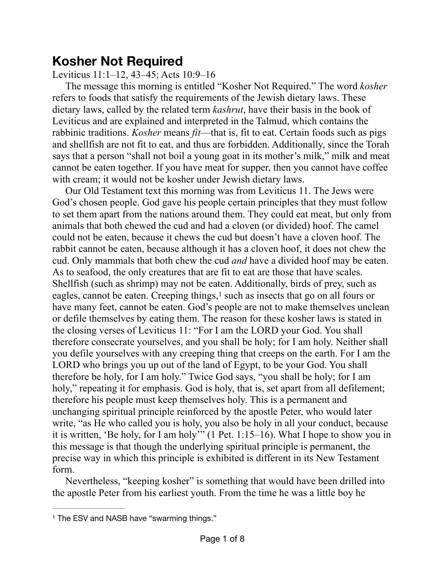## **Kosher Not Required**

Leviticus 11:1–12, 43–45; Acts 10:9–16

The message this morning is entitled "Kosher Not Required." The word *kosher* refers to foods that satisfy the requirements of the Jewish dietary laws. These dietary laws, called by the related term *kashrut*, have their basis in the book of Leviticus and are explained and interpreted in the Talmud, which contains the rabbinic traditions. *Kosher* means *fit*—that is, fit to eat. Certain foods such as pigs and shellfish are not fit to eat, and thus are forbidden. Additionally, since the Torah says that a person "shall not boil a young goat in its mother's milk," milk and meat cannot be eaten together. If you have meat for supper, then you cannot have coffee with cream; it would not be kosher under Jewish dietary laws.

<span id="page-0-1"></span>Our Old Testament text this morning was from Leviticus 11. The Jews were God's chosen people. God gave his people certain principles that they must follow to set them apart from the nations around them. They could eat meat, but only from animals that both chewed the cud and had a cloven (or divided) hoof. The camel could not be eaten, because it chews the cud but doesn't have a cloven hoof. The rabbit cannot be eaten, because although it has a cloven hoof, it does not chew the cud. Only mammals that both chew the cud *and* have a divided hoof may be eaten. As to seafood, the only creatures that are fit to eat are those that have scales. Shellfish (such as shrimp) may not be eaten. Additionally, birds of prey, such as eagles, cannot be eaten. Creeping things, $<sup>1</sup>$  $<sup>1</sup>$  $<sup>1</sup>$  such as insects that go on all fours or</sup> have many feet, cannot be eaten. God's people are not to make themselves unclean or defile themselves by eating them. The reason for these kosher laws is stated in the closing verses of Leviticus 11: "For I am the LORD your God. You shall therefore consecrate yourselves, and you shall be holy; for I am holy. Neither shall you defile yourselves with any creeping thing that creeps on the earth. For I am the LORD who brings you up out of the land of Egypt, to be your God. You shall therefore be holy, for I am holy." Twice God says, "you shall be holy; for I am holy," repeating it for emphasis. God is holy, that is, set apart from all defilement; therefore his people must keep themselves holy. This is a permanent and unchanging spiritual principle reinforced by the apostle Peter, who would later write, "as He who called you is holy, you also be holy in all your conduct, because it is written, 'Be holy, for I am holy'" (1 Pet. 1:15–16). What I hope to show you in this message is that though the underlying spiritual principle is permanent, the precise way in which this principle is exhibited is different in its New Testament form.

Nevertheless, "keeping kosher" is something that would have been drilled into the apostle Peter from his earliest youth. From the time he was a little boy he

<span id="page-0-0"></span><sup>&</sup>lt;sup>[1](#page-0-1)</sup> The ESV and NASB have "swarming things."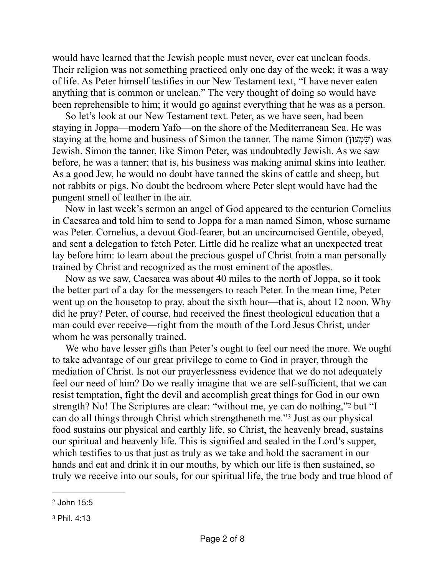would have learned that the Jewish people must never, ever eat unclean foods. Their religion was not something practiced only one day of the week; it was a way of life. As Peter himself testifies in our New Testament text, "I have never eaten anything that is common or unclean." The very thought of doing so would have been reprehensible to him; it would go against everything that he was as a person.

So let's look at our New Testament text. Peter, as we have seen, had been staying in Joppa—modern Yafo—on the shore of the Mediterranean Sea. He was staying at the home and business of Simon the tanner. The name Simon (שׁמְעוֹן) was Jewish. Simon the tanner, like Simon Peter, was undoubtedly Jewish. As we saw before, he was a tanner; that is, his business was making animal skins into leather. As a good Jew, he would no doubt have tanned the skins of cattle and sheep, but not rabbits or pigs. No doubt the bedroom where Peter slept would have had the pungent smell of leather in the air.

Now in last week's sermon an angel of God appeared to the centurion Cornelius in Caesarea and told him to send to Joppa for a man named Simon, whose surname was Peter. Cornelius, a devout God-fearer, but an uncircumcised Gentile, obeyed, and sent a delegation to fetch Peter. Little did he realize what an unexpected treat lay before him: to learn about the precious gospel of Christ from a man personally trained by Christ and recognized as the most eminent of the apostles.

Now as we saw, Caesarea was about 40 miles to the north of Joppa, so it took the better part of a day for the messengers to reach Peter. In the mean time, Peter went up on the housetop to pray, about the sixth hour—that is, about 12 noon. Why did he pray? Peter, of course, had received the finest theological education that a man could ever receive—right from the mouth of the Lord Jesus Christ, under whom he was personally trained.

<span id="page-1-3"></span><span id="page-1-2"></span>We who have lesser gifts than Peter's ought to feel our need the more. We ought to take advantage of our great privilege to come to God in prayer, through the mediation of Christ. Is not our prayerlessness evidence that we do not adequately feel our need of him? Do we really imagine that we are self-sufficient, that we can resist temptation, fight the devil and accomplish great things for God in our own strength? No! The Scriptures are clear: "without me, ye can do nothing," but "I cando all things through Christ which strengtheneth me."<sup>[3](#page-1-1)</sup> Just as our physical food sustains our physical and earthly life, so Christ, the heavenly bread, sustains our spiritual and heavenly life. This is signified and sealed in the Lord's supper, which testifies to us that just as truly as we take and hold the sacrament in our hands and eat and drink it in our mouths, by which our life is then sustained, so truly we receive into our souls, for our spiritual life, the true body and true blood of

<span id="page-1-0"></span>[<sup>2</sup>](#page-1-2) John 15:5

<span id="page-1-1"></span>[<sup>3</sup>](#page-1-3) Phil. 4:13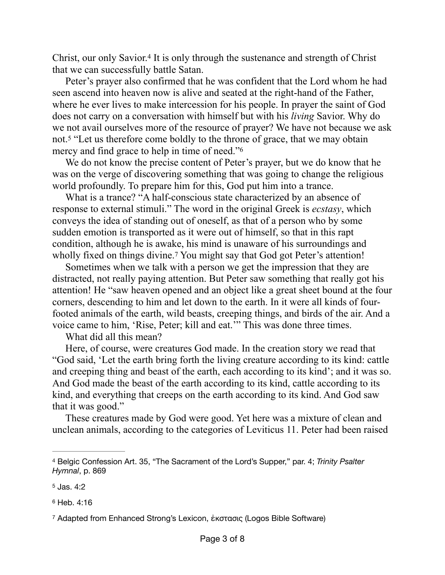<span id="page-2-4"></span>Christ, our only Savior.<sup>[4](#page-2-0)</sup> It is only through the sustenance and strength of Christ that we can successfully battle Satan.

Peter's prayer also confirmed that he was confident that the Lord whom he had seen ascend into heaven now is alive and seated at the right-hand of the Father, where he ever lives to make intercession for his people. In prayer the saint of God does not carry on a conversation with himself but with his *living* Savior. Why do we not avail ourselves more of the resource of prayer? We have not because we ask not[.](#page-2-1)<sup>[5](#page-2-1)</sup> "Let us therefore come boldly to the throne of grace, that we may obtain mercy and find grace to help in time of need.["6](#page-2-2)

<span id="page-2-6"></span><span id="page-2-5"></span>We do not know the precise content of Peter's prayer, but we do know that he was on the verge of discovering something that was going to change the religious world profoundly. To prepare him for this, God put him into a trance.

What is a trance? "A half-conscious state characterized by an absence of response to external stimuli." The word in the original Greek is *ecstasy*, which conveys the idea of standing out of oneself, as that of a person who by some sudden emotion is transported as it were out of himself, so that in this rapt condition, although he is awake, his mind is unaware of his surroundings and wholly fixed on things divine[.](#page-2-3)<sup>7</sup> You might say that God got Peter's attention!

<span id="page-2-7"></span>Sometimes when we talk with a person we get the impression that they are distracted, not really paying attention. But Peter saw something that really got his attention! He "saw heaven opened and an object like a great sheet bound at the four corners, descending to him and let down to the earth. In it were all kinds of fourfooted animals of the earth, wild beasts, creeping things, and birds of the air. And a voice came to him, 'Rise, Peter; kill and eat.'" This was done three times.

What did all this mean?

Here, of course, were creatures God made. In the creation story we read that "God said, 'Let the earth bring forth the living creature according to its kind: cattle and creeping thing and beast of the earth, each according to its kind'; and it was so. And God made the beast of the earth according to its kind, cattle according to its kind, and everything that creeps on the earth according to its kind. And God saw that it was good."

These creatures made by God were good. Yet here was a mixture of clean and unclean animals, according to the categories of Leviticus 11. Peter had been raised

<span id="page-2-2"></span>[6](#page-2-6) Heb. 4:16

<span id="page-2-0"></span>Belgic Confession Art. 35, "The Sacrament of the Lord's Supper," par. 4; *Trinity Psalter* [4](#page-2-4) *Hymnal*, p. 869

<span id="page-2-1"></span>[<sup>5</sup>](#page-2-5) Jas. 4:2

<span id="page-2-3"></span>Adapted from Enhanced Strong's Lexicon, ἐκστασις (Logos Bible Software) [7](#page-2-7)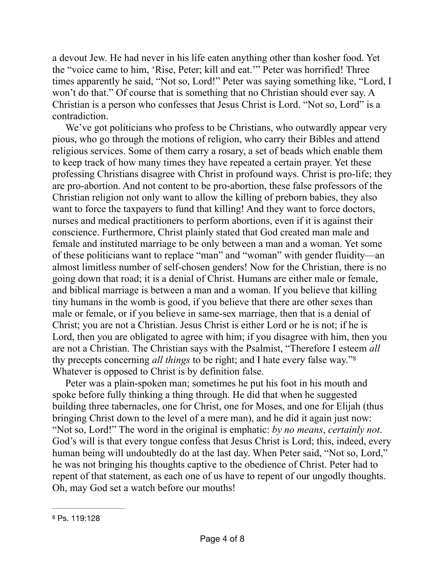a devout Jew. He had never in his life eaten anything other than kosher food. Yet the "voice came to him, 'Rise, Peter; kill and eat.'" Peter was horrified! Three times apparently he said, "Not so, Lord!" Peter was saying something like, "Lord, I won't do that." Of course that is something that no Christian should ever say. A Christian is a person who confesses that Jesus Christ is Lord. "Not so, Lord" is a contradiction.

We've got politicians who profess to be Christians, who outwardly appear very pious, who go through the motions of religion, who carry their Bibles and attend religious services. Some of them carry a rosary, a set of beads which enable them to keep track of how many times they have repeated a certain prayer. Yet these professing Christians disagree with Christ in profound ways. Christ is pro-life; they are pro-abortion. And not content to be pro-abortion, these false professors of the Christian religion not only want to allow the killing of preborn babies, they also want to force the taxpayers to fund that killing! And they want to force doctors, nurses and medical practitioners to perform abortions, even if it is against their conscience. Furthermore, Christ plainly stated that God created man male and female and instituted marriage to be only between a man and a woman. Yet some of these politicians want to replace "man" and "woman" with gender fluidity—an almost limitless number of self-chosen genders! Now for the Christian, there is no going down that road; it is a denial of Christ. Humans are either male or female, and biblical marriage is between a man and a woman. If you believe that killing tiny humans in the womb is good, if you believe that there are other sexes than male or female, or if you believe in same-sex marriage, then that is a denial of Christ; you are not a Christian. Jesus Christ is either Lord or he is not; if he is Lord, then you are obligated to agree with him; if you disagree with him, then you are not a Christian. The Christian says with the Psalmist, "Therefore I esteem *all* thy precepts concerning *all things* to be right; and I hate every false way."[8](#page-3-0) Whatever is opposed to Christ is by definition false.

<span id="page-3-1"></span>Peter was a plain-spoken man; sometimes he put his foot in his mouth and spoke before fully thinking a thing through. He did that when he suggested building three tabernacles, one for Christ, one for Moses, and one for Elijah (thus bringing Christ down to the level of a mere man), and he did it again just now: "Not so, Lord!" The word in the original is emphatic: *by no means*, *certainly not*. God's will is that every tongue confess that Jesus Christ is Lord; this, indeed, every human being will undoubtedly do at the last day. When Peter said, "Not so, Lord," he was not bringing his thoughts captive to the obedience of Christ. Peter had to repent of that statement, as each one of us have to repent of our ungodly thoughts. Oh, may God set a watch before our mouths!

<span id="page-3-0"></span>[<sup>8</sup>](#page-3-1) Ps. 119:128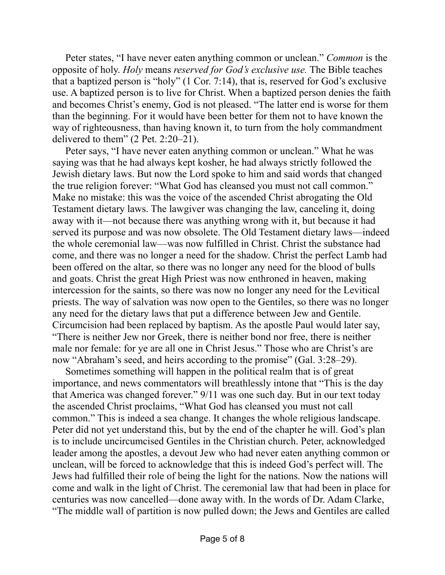Peter states, "I have never eaten anything common or unclean." *Common* is the opposite of holy. *Holy* means *reserved for God's exclusive use.* The Bible teaches that a baptized person is "holy" (1 Cor. 7:14), that is, reserved for God's exclusive use. A baptized person is to live for Christ. When a baptized person denies the faith and becomes Christ's enemy, God is not pleased. "The latter end is worse for them than the beginning. For it would have been better for them not to have known the way of righteousness, than having known it, to turn from the holy commandment delivered to them" (2 Pet. 2:20–21).

Peter says, "I have never eaten anything common or unclean." What he was saying was that he had always kept kosher, he had always strictly followed the Jewish dietary laws. But now the Lord spoke to him and said words that changed the true religion forever: "What God has cleansed you must not call common." Make no mistake: this was the voice of the ascended Christ abrogating the Old Testament dietary laws. The lawgiver was changing the law, canceling it, doing away with it—not because there was anything wrong with it, but because it had served its purpose and was now obsolete. The Old Testament dietary laws—indeed the whole ceremonial law—was now fulfilled in Christ. Christ the substance had come, and there was no longer a need for the shadow. Christ the perfect Lamb had been offered on the altar, so there was no longer any need for the blood of bulls and goats. Christ the great High Priest was now enthroned in heaven, making intercession for the saints, so there was now no longer any need for the Levitical priests. The way of salvation was now open to the Gentiles, so there was no longer any need for the dietary laws that put a difference between Jew and Gentile. Circumcision had been replaced by baptism. As the apostle Paul would later say, "There is neither Jew nor Greek, there is neither bond nor free, there is neither male nor female: for ye are all one in Christ Jesus." Those who are Christ's are now "Abraham's seed, and heirs according to the promise" (Gal. 3:28–29).

Sometimes something will happen in the political realm that is of great importance, and news commentators will breathlessly intone that "This is the day that America was changed forever." 9/11 was one such day. But in our text today the ascended Christ proclaims, "What God has cleansed you must not call common." This is indeed a sea change. It changes the whole religious landscape. Peter did not yet understand this, but by the end of the chapter he will. God's plan is to include uncircumcised Gentiles in the Christian church. Peter, acknowledged leader among the apostles, a devout Jew who had never eaten anything common or unclean, will be forced to acknowledge that this is indeed God's perfect will. The Jews had fulfilled their role of being the light for the nations. Now the nations will come and walk in the light of Christ. The ceremonial law that had been in place for centuries was now cancelled—done away with. In the words of Dr. Adam Clarke, "The middle wall of partition is now pulled down; the Jews and Gentiles are called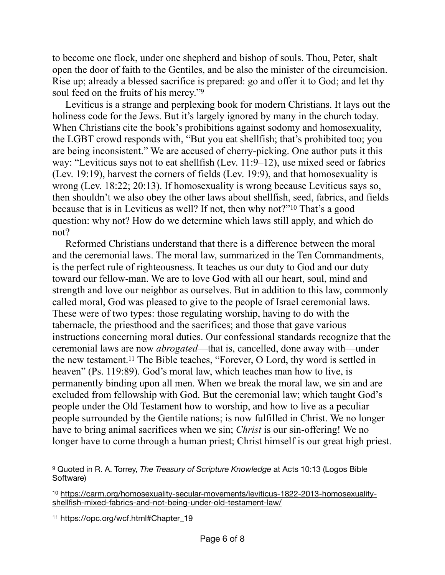to become one flock, under one shepherd and bishop of souls. Thou, Peter, shalt open the door of faith to the Gentiles, and be also the minister of the circumcision. Rise up; already a blessed sacrifice is prepared: go and offer it to God; and let thy soul feed on the fruits of his mercy.["9](#page-5-0)

<span id="page-5-3"></span>Leviticus is a strange and perplexing book for modern Christians. It lays out the holiness code for the Jews. But it's largely ignored by many in the church today. When Christians cite the book's prohibitions against sodomy and homosexuality, the LGBT crowd responds with, "But you eat shellfish; that's prohibited too; you are being inconsistent." We are accused of cherry-picking. One author puts it this way: "Leviticus says not to eat shellfish (Lev. 11:9–12), use mixed seed or fabrics (Lev. 19:19), harvest the corners of fields (Lev. 19:9), and that homosexuality is wrong (Lev. 18:22; 20:13). If homosexuality is wrong because Leviticus says so, then shouldn't we also obey the other laws about shellfish, seed, fabrics, and fields because that is in Leviticus as well? If not, then why not?"<sup>[10](#page-5-1)</sup> That's a good question: why not? How do we determine which laws still apply, and which do not?

<span id="page-5-4"></span>Reformed Christians understand that there is a difference between the moral and the ceremonial laws. The moral law, summarized in the Ten Commandments, is the perfect rule of righteousness. It teaches us our duty to God and our duty toward our fellow-man. We are to love God with all our heart, soul, mind and strength and love our neighbor as ourselves. But in addition to this law, commonly called moral, God was pleased to give to the people of Israel ceremonial laws. These were of two types: those regulating worship, having to do with the tabernacle, the priesthood and the sacrifices; and those that gave various instructions concerning moral duties. Our confessional standards recognize that the ceremonial laws are now *abrogated*—that is, cancelled, done away with—under thenew testament.<sup>[11](#page-5-2)</sup> The Bible teaches, "Forever, O Lord, thy word is settled in heaven" (Ps. 119:89). God's moral law, which teaches man how to live, is permanently binding upon all men. When we break the moral law, we sin and are excluded from fellowship with God. But the ceremonial law; which taught God's people under the Old Testament how to worship, and how to live as a peculiar people surrounded by the Gentile nations; is now fulfilled in Christ. We no longer have to bring animal sacrifices when we sin; *Christ* is our sin-offering! We no longer have to come through a human priest; Christ himself is our great high priest.

<span id="page-5-2"></span>[11](#page-5-5) https://opc.org/wcf.html#Chapter\_19

<span id="page-5-5"></span><span id="page-5-0"></span><sup>&</sup>lt;sup>[9](#page-5-3)</sup> Quoted in R. A. Torrey, *The Treasury of Scripture Knowledge* at Acts 10:13 (Logos Bible Software)

<span id="page-5-1"></span><sup>&</sup>lt;sup>10</sup> [https://carm.org/homosexuality-secular-movements/leviticus-1822-2013-homosexuality](https://carm.org/homosexuality-secular-movements/leviticus-1822-2013-homosexuality-shellfish-mixed-fabrics-and-not-being-under-old-testament-law/) [shellfish-mixed-fabrics-and-not-being-under-old-testament-law/](https://carm.org/homosexuality-secular-movements/leviticus-1822-2013-homosexuality-shellfish-mixed-fabrics-and-not-being-under-old-testament-law/)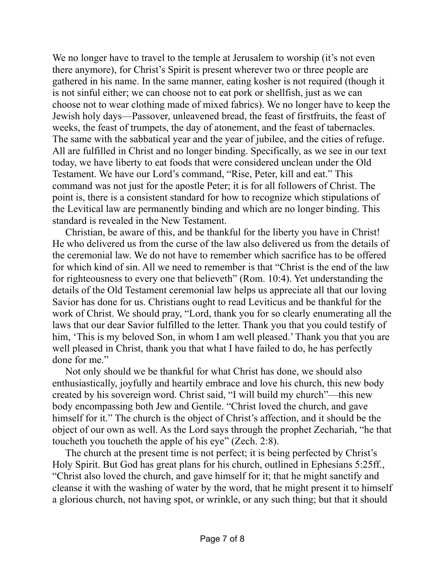We no longer have to travel to the temple at Jerusalem to worship (it's not even there anymore), for Christ's Spirit is present wherever two or three people are gathered in his name. In the same manner, eating kosher is not required (though it is not sinful either; we can choose not to eat pork or shellfish, just as we can choose not to wear clothing made of mixed fabrics). We no longer have to keep the Jewish holy days—Passover, unleavened bread, the feast of firstfruits, the feast of weeks, the feast of trumpets, the day of atonement, and the feast of tabernacles. The same with the sabbatical year and the year of jubilee, and the cities of refuge. All are fulfilled in Christ and no longer binding. Specifically, as we see in our text today, we have liberty to eat foods that were considered unclean under the Old Testament. We have our Lord's command, "Rise, Peter, kill and eat." This command was not just for the apostle Peter; it is for all followers of Christ. The point is, there is a consistent standard for how to recognize which stipulations of the Levitical law are permanently binding and which are no longer binding. This standard is revealed in the New Testament.

Christian, be aware of this, and be thankful for the liberty you have in Christ! He who delivered us from the curse of the law also delivered us from the details of the ceremonial law. We do not have to remember which sacrifice has to be offered for which kind of sin. All we need to remember is that "Christ is the end of the law for righteousness to every one that believeth" (Rom. 10:4). Yet understanding the details of the Old Testament ceremonial law helps us appreciate all that our loving Savior has done for us. Christians ought to read Leviticus and be thankful for the work of Christ. We should pray, "Lord, thank you for so clearly enumerating all the laws that our dear Savior fulfilled to the letter. Thank you that you could testify of him, 'This is my beloved Son, in whom I am well pleased.' Thank you that you are well pleased in Christ, thank you that what I have failed to do, he has perfectly done for me."

Not only should we be thankful for what Christ has done, we should also enthusiastically, joyfully and heartily embrace and love his church, this new body created by his sovereign word. Christ said, "I will build my church"—this new body encompassing both Jew and Gentile. "Christ loved the church, and gave himself for it." The church is the object of Christ's affection, and it should be the object of our own as well. As the Lord says through the prophet Zechariah, "he that toucheth you toucheth the apple of his eye" (Zech. 2:8).

The church at the present time is not perfect; it is being perfected by Christ's Holy Spirit. But God has great plans for his church, outlined in Ephesians 5:25ff., "Christ also loved the church, and gave himself for it; that he might sanctify and cleanse it with the washing of water by the word, that he might present it to himself a glorious church, not having spot, or wrinkle, or any such thing; but that it should